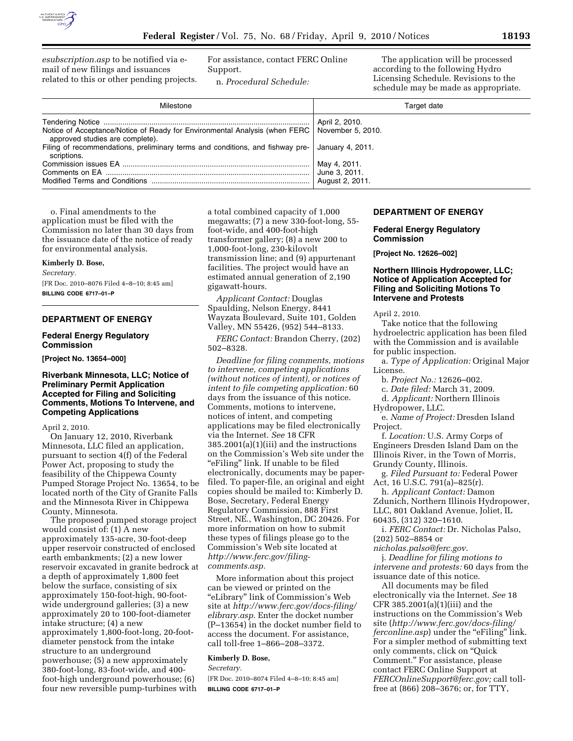

*esubscription.asp* to be notified via email of new filings and issuances related to this or other pending projects. For assistance, contact FERC Online Support.

n. *Procedural Schedule:* 

The application will be processed according to the following Hydro Licensing Schedule. Revisions to the schedule may be made as appropriate.

| Milestone                                                                                                                         | Target date      |
|-----------------------------------------------------------------------------------------------------------------------------------|------------------|
|                                                                                                                                   | April 2, 2010.   |
| Notice of Acceptance/Notice of Ready for Environmental Analysis (when FERC   November 5, 2010.<br>approved studies are complete). |                  |
| Filing of recommendations, preliminary terms and conditions, and fishway pre-<br>scriptions.                                      | January 4, 2011. |
|                                                                                                                                   | May 4, 2011.     |
|                                                                                                                                   | June 3, 2011.    |
|                                                                                                                                   | August 2, 2011.  |

o. Final amendments to the application must be filed with the Commission no later than 30 days from the issuance date of the notice of ready for environmental analysis.

#### **Kimberly D. Bose,**

*Secretary.* 

[FR Doc. 2010–8076 Filed 4–8–10; 8:45 am] **BILLING CODE 6717–01–P** 

# **DEPARTMENT OF ENERGY**

## **Federal Energy Regulatory Commission**

**[Project No. 13654–000]** 

# **Riverbank Minnesota, LLC; Notice of Preliminary Permit Application Accepted for Filing and Soliciting Comments, Motions To Intervene, and Competing Applications**

## April 2, 2010.

On January 12, 2010, Riverbank Minnesota, LLC filed an application, pursuant to section 4(f) of the Federal Power Act, proposing to study the feasibility of the Chippewa County Pumped Storage Project No. 13654, to be located north of the City of Granite Falls and the Minnesota River in Chippewa County, Minnesota.

The proposed pumped storage project would consist of: (1) A new approximately 135-acre, 30-foot-deep upper reservoir constructed of enclosed earth embankments; (2) a new lower reservoir excavated in granite bedrock at a depth of approximately 1,800 feet below the surface, consisting of six approximately 150-foot-high, 90-footwide underground galleries; (3) a new approximately 20 to 100-foot-diameter intake structure; (4) a new approximately 1,800-foot-long, 20-footdiameter penstock from the intake structure to an underground powerhouse; (5) a new approximately 380-foot-long, 83-foot-wide, and 400 foot-high underground powerhouse; (6) four new reversible pump-turbines with

a total combined capacity of 1,000 megawatts; (7) a new 330-foot-long, 55 foot-wide, and 400-foot-high transformer gallery; (8) a new 200 to 1,000-foot-long, 230-kilovolt transmission line; and (9) appurtenant facilities. The project would have an estimated annual generation of 2,190 gigawatt-hours.

*Applicant Contact:* Douglas Spaulding, Nelson Energy, 8441 Wayzata Boulevard, Suite 101, Golden Valley, MN 55426, (952) 544–8133.

*FERC Contact:* Brandon Cherry, (202) 502–8328.

*Deadline for filing comments, motions to intervene, competing applications (without notices of intent), or notices of intent to file competing application:* 60 days from the issuance of this notice. Comments, motions to intervene, notices of intent, and competing applications may be filed electronically via the Internet. *See* 18 CFR 385.2001(a)(1)(iii) and the instructions on the Commission's Web site under the "eFiling" link. If unable to be filed electronically, documents may be paperfiled. To paper-file, an original and eight copies should be mailed to: Kimberly D. Bose, Secretary, Federal Energy Regulatory Commission, 888 First Street, NE., Washington, DC 20426. For more information on how to submit these types of filings please go to the Commission's Web site located at *http://www.ferc.gov/filingcomments.asp.* 

More information about this project can be viewed or printed on the ''eLibrary'' link of Commission's Web site at *http://www.ferc.gov/docs-filing/ elibrary.asp.* Enter the docket number (P–13654) in the docket number field to access the document. For assistance, call toll-free 1–866–208–3372.

### **Kimberly D. Bose,**

*Secretary.* 

[FR Doc. 2010–8074 Filed 4–8–10; 8:45 am] **BILLING CODE 6717–01–P** 

### **DEPARTMENT OF ENERGY**

**Federal Energy Regulatory Commission** 

**[Project No. 12626–002]** 

# **Northern Illinois Hydropower, LLC; Notice of Application Accepted for Filing and Soliciting Motions To Intervene and Protests**

April 2, 2010.

Take notice that the following hydroelectric application has been filed with the Commission and is available for public inspection.

a. *Type of Application:* Original Major License.

b. *Project No.:* 12626–002.

c. *Date filed:* March 31, 2009.

d. *Applicant:* Northern Illinois

Hydropower, LLC.

e. *Name of Project:* Dresden Island Project.

f. *Location:* U.S. Army Corps of Engineers Dresden Island Dam on the Illinois River, in the Town of Morris, Grundy County, Illinois.

g. *Filed Pursuant to:* Federal Power Act, 16 U.S.C. 791(a)–825(r).

h. *Applicant Contact:* Damon Zdunich, Northern Illinois Hydropower, LLC, 801 Oakland Avenue, Joliet, IL 60435, (312) 320–1610.

i. *FERC Contact:* Dr. Nicholas Palso, (202) 502–8854 or

*nicholas.palso@ferc.gov.* 

j. *Deadline for filing motions to intervene and protests:* 60 days from the issuance date of this notice.

All documents may be filed electronically via the Internet. *See* 18 CFR 385.2001(a)(1)(iii) and the instructions on the Commission's Web site (*http://www.ferc.gov/docs-filing/ ferconline.asp*) under the "eFiling" link. For a simpler method of submitting text only comments, click on ''Quick Comment.'' For assistance, please contact FERC Online Support at *FERCOnlineSupport@ferc.gov;* call tollfree at (866) 208–3676; or, for TTY,